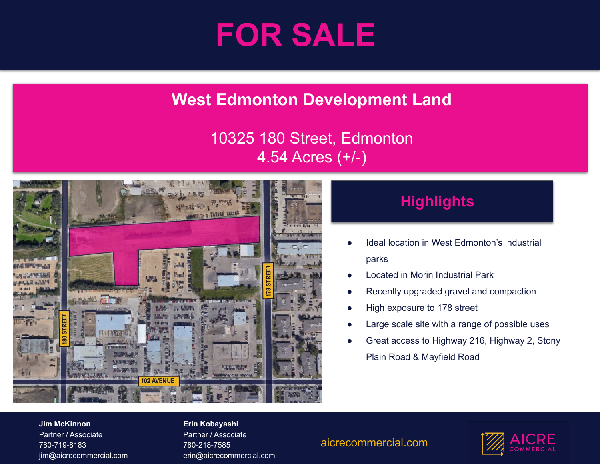

# **West Edmonton Development Land**

### 10325 180 Street, Edmonton 4.54 Acres (+/-)



## **Highlights**

- Ideal location in West Edmonton's industrial parks
- Located in Morin Industrial Park
- Recently upgraded gravel and compaction
- High exposure to 178 street
- Large scale site with a range of possible uses
- Great access to Highway 216, Highway 2, Stony Plain Road & Mayfield Road

#### **Jim McKinnon** Partner / Associate 780-719-8183 jim@aicrecommercial.com

#### **Erin Kobayashi**

Partner / Associate 780-218-7585 erin@aicrecommercial.com

### aicrecommercial.com